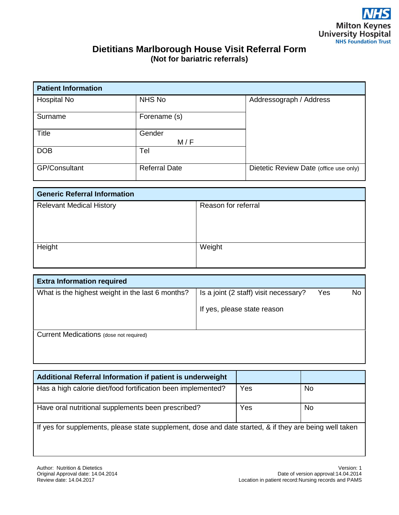## **Dietitians Marlborough House Visit Referral Form (Not for bariatric referrals)**

| <b>Patient Information</b> |                      |                                        |  |  |  |
|----------------------------|----------------------|----------------------------------------|--|--|--|
| Hospital No                | NHS No               | Addressograph / Address                |  |  |  |
| Surname                    | Forename (s)         |                                        |  |  |  |
| <b>Title</b>               | Gender<br>M/F        |                                        |  |  |  |
| <b>DOB</b>                 | Tel                  |                                        |  |  |  |
| <b>GP/Consultant</b>       | <b>Referral Date</b> | Dietetic Review Date (office use only) |  |  |  |

| <b>Generic Referral Information</b> |                     |  |
|-------------------------------------|---------------------|--|
| <b>Relevant Medical History</b>     | Reason for referral |  |
|                                     |                     |  |
|                                     |                     |  |
|                                     |                     |  |
| Height                              | Weight              |  |
|                                     |                     |  |
|                                     |                     |  |

| <b>Extra Information required</b>                |                                       |     |    |  |
|--------------------------------------------------|---------------------------------------|-----|----|--|
| What is the highest weight in the last 6 months? | Is a joint (2 staff) visit necessary? | Yes | No |  |
|                                                  | If yes, please state reason           |     |    |  |
| Current Medications (dose not required)          |                                       |     |    |  |

| Additional Referral Information if patient is underweight                                              |     |           |  |  |  |
|--------------------------------------------------------------------------------------------------------|-----|-----------|--|--|--|
| Has a high calorie diet/food fortification been implemented?                                           | Yes | <b>No</b> |  |  |  |
| Have oral nutritional supplements been prescribed?                                                     | Yes | No.       |  |  |  |
| If yes for supplements, please state supplement, dose and date started, & if they are being well taken |     |           |  |  |  |